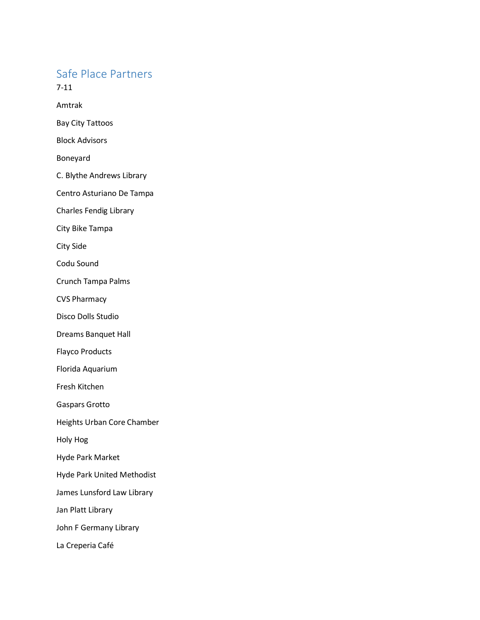## Safe Place Partners

7-11

Amtrak

Bay City Tattoos

Block Advisors

Boneyard

C. Blythe Andrews Library

Centro Asturiano De Tampa

Charles Fendig Library

City Bike Tampa

City Side

Codu Sound

Crunch Tampa Palms

CVS Pharmacy

Disco Dolls Studio

Dreams Banquet Hall

Flayco Products

Florida Aquarium

Fresh Kitchen

Gaspars Grotto

Heights Urban Core Chamber

Holy Hog

Hyde Park Market

Hyde Park United Methodist

James Lunsford Law Library

Jan Platt Library

John F Germany Library

La Creperia Café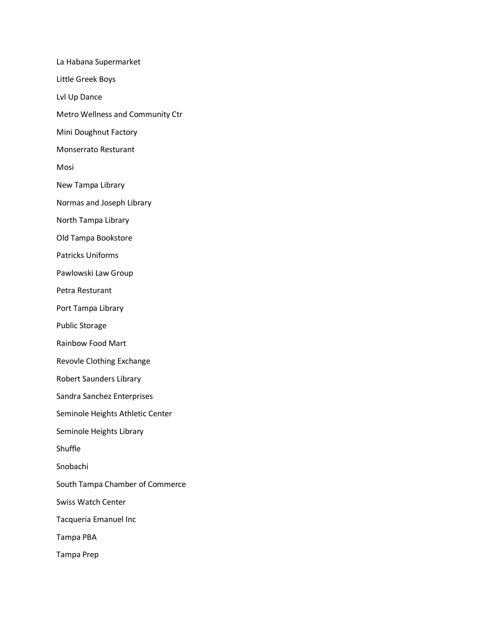La Habana Supermarket Little Greek Boys Lvl Up Dance Metro Wellness and Community Ctr Mini Doughnut Factory Monserrato Resturant Mosi New Tampa Library Normas and Joseph Library North Tampa Library Old Tampa Bookstore Patricks Uniforms Pawlowski Law Group Petra Resturant Port Tampa Library Public Storage Rainbow Food Mart Revovle Clothing Exchange Robert Saunders Library Sandra Sanchez Enterprises Seminole Heights Athletic Center Seminole Heights Library Shuffle Snobachi South Tampa Chamber of Commerce Swiss Watch Center Tacqueria Emanuel Inc Tampa PBA Tampa Prep